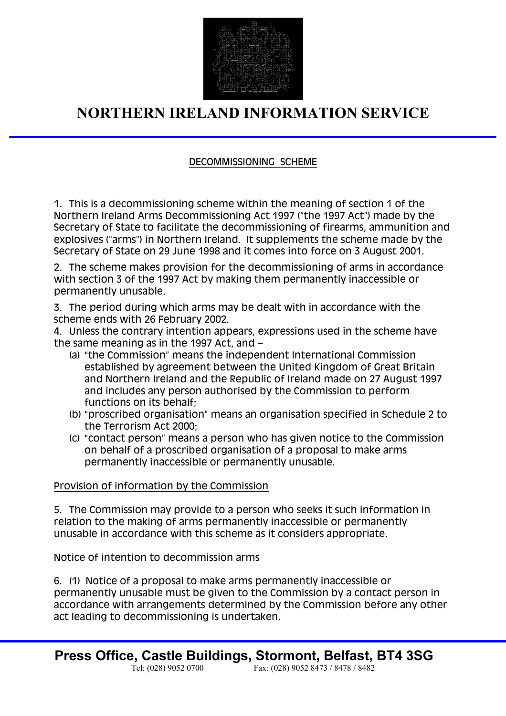

# **NORTHERN IRELAND INFORMATION SERVICE**

# DECOMMISSIONING SCHEME

1. This is a decommissioning scheme within the meaning of section 1 of the Northern Ireland Arms Decommissioning Act 1997 ("the 1997 Act") made by the Secretary of State to facilitate the decommissioning of firearms, ammunition and explosives ("arms") in Northern Ireland. It supplements the scheme made by the Secretary of State on 29 June 1998 and it comes into force on 3 August 2001.

2. The scheme makes provision for the decommissioning of arms in accordance with section 3 of the 1997 Act by making them permanently inaccessible or permanently unusable.

3. The period during which arms may be dealt with in accordance with the scheme ends with 26 February 2002.

4. Unless the contrary intention appears, expressions used in the scheme have the same meaning as in the 1997 Act, and –

- (a) "the Commission" means the independent International Commission established by agreement between the United Kingdom of Great Britain and Northern Ireland and the Republic of Ireland made on 27 August 1997 and includes any person authorised by the Commission to perform functions on its behalf;
- (b) "proscribed organisation" means an organisation specified in Schedule 2 to the Terrorism Act 2000;
- (c) "contact person" means a person who has given notice to the Commission on behalf of a proscribed organisation of a proposal to make arms permanently inaccessible or permanently unusable.

#### Provision of information by the Commission

5. The Commission may provide to a person who seeks it such information in relation to the making of arms permanently inaccessible or permanently unusable in accordance with this scheme as it considers appropriate.

# Notice of intention to decommission arms

6. (1) Notice of a proposal to make arms permanently inaccessible or permanently unusable must be given to the Commission by a contact person in accordance with arrangements determined by the Commission before any other act leading to decommissioning is undertaken.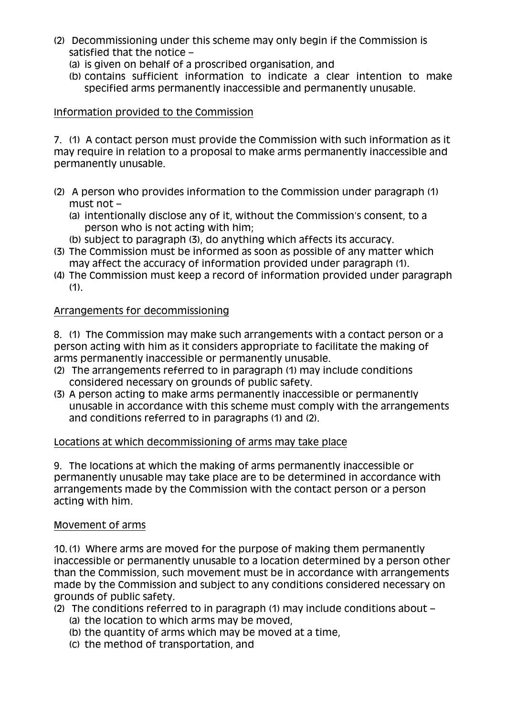- (2) Decommissioning under this scheme may only begin if the Commission is satisfied that the notice –
	- (a) is given on behalf of a proscribed organisation, and
	- (b) contains sufficient information to indicate a clear intention to make specified arms permanently inaccessible and permanently unusable.

### Information provided to the Commission

7. (1) A contact person must provide the Commission with such information as it may require in relation to a proposal to make arms permanently inaccessible and permanently unusable.

- (2) A person who provides information to the Commission under paragraph (1) must not –
	- (a) intentionally disclose any of it, without the Commission's consent, to a person who is not acting with him;
	- (b) subject to paragraph (3), do anything which affects its accuracy.
- (3) The Commission must be informed as soon as possible of any matter which may affect the accuracy of information provided under paragraph (1).
- (4) The Commission must keep a record of information provided under paragraph  $(1)$ .

#### Arrangements for decommissioning

8. (1) The Commission may make such arrangements with a contact person or a person acting with him as it considers appropriate to facilitate the making of arms permanently inaccessible or permanently unusable.

- (2) The arrangements referred to in paragraph (1) may include conditions considered necessary on grounds of public safety.
- (3) A person acting to make arms permanently inaccessible or permanently unusable in accordance with this scheme must comply with the arrangements and conditions referred to in paragraphs (1) and (2).

#### Locations at which decommissioning of arms may take place

9. The locations at which the making of arms permanently inaccessible or permanently unusable may take place are to be determined in accordance with arrangements made by the Commission with the contact person or a person acting with him.

#### Movement of arms

10. (1) Where arms are moved for the purpose of making them permanently inaccessible or permanently unusable to a location determined by a person other than the Commission, such movement must be in accordance with arrangements made by the Commission and subject to any conditions considered necessary on grounds of public safety.

- (2) The conditions referred to in paragraph (1) may include conditions about
	- (a) the location to which arms may be moved,
	- (b) the quantity of arms which may be moved at a time,
	- (c) the method of transportation, and